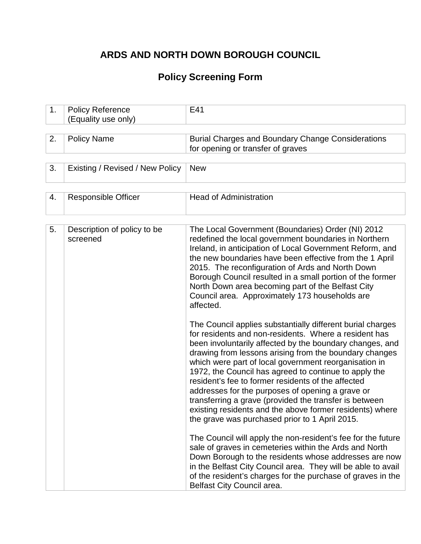## **ARDS AND NORTH DOWN BOROUGH COUNCIL**

# **Policy Screening Form**

| 1. | <b>Policy Reference</b><br>(Equality use only) | E41                                                                                                                                                                                                                                                                                                                                                                                                                                                                                                                                                                                                                                                                                                                                                                                                                                                                                                                                                                                           |  |  |  |
|----|------------------------------------------------|-----------------------------------------------------------------------------------------------------------------------------------------------------------------------------------------------------------------------------------------------------------------------------------------------------------------------------------------------------------------------------------------------------------------------------------------------------------------------------------------------------------------------------------------------------------------------------------------------------------------------------------------------------------------------------------------------------------------------------------------------------------------------------------------------------------------------------------------------------------------------------------------------------------------------------------------------------------------------------------------------|--|--|--|
|    |                                                |                                                                                                                                                                                                                                                                                                                                                                                                                                                                                                                                                                                                                                                                                                                                                                                                                                                                                                                                                                                               |  |  |  |
| 2. | <b>Policy Name</b>                             | <b>Burial Charges and Boundary Change Considerations</b><br>for opening or transfer of graves                                                                                                                                                                                                                                                                                                                                                                                                                                                                                                                                                                                                                                                                                                                                                                                                                                                                                                 |  |  |  |
|    |                                                |                                                                                                                                                                                                                                                                                                                                                                                                                                                                                                                                                                                                                                                                                                                                                                                                                                                                                                                                                                                               |  |  |  |
| 3. | Existing / Revised / New Policy                | <b>New</b>                                                                                                                                                                                                                                                                                                                                                                                                                                                                                                                                                                                                                                                                                                                                                                                                                                                                                                                                                                                    |  |  |  |
|    |                                                |                                                                                                                                                                                                                                                                                                                                                                                                                                                                                                                                                                                                                                                                                                                                                                                                                                                                                                                                                                                               |  |  |  |
| 4. | <b>Responsible Officer</b>                     | <b>Head of Administration</b>                                                                                                                                                                                                                                                                                                                                                                                                                                                                                                                                                                                                                                                                                                                                                                                                                                                                                                                                                                 |  |  |  |
|    |                                                |                                                                                                                                                                                                                                                                                                                                                                                                                                                                                                                                                                                                                                                                                                                                                                                                                                                                                                                                                                                               |  |  |  |
| 5. | Description of policy to be<br>screened        | The Local Government (Boundaries) Order (NI) 2012<br>redefined the local government boundaries in Northern<br>Ireland, in anticipation of Local Government Reform, and<br>the new boundaries have been effective from the 1 April<br>2015. The reconfiguration of Ards and North Down<br>Borough Council resulted in a small portion of the former<br>North Down area becoming part of the Belfast City<br>Council area. Approximately 173 households are<br>affected.                                                                                                                                                                                                                                                                                                                                                                                                                                                                                                                        |  |  |  |
|    |                                                | The Council applies substantially different burial charges<br>for residents and non-residents. Where a resident has<br>been involuntarily affected by the boundary changes, and<br>drawing from lessons arising from the boundary changes<br>which were part of local government reorganisation in<br>1972, the Council has agreed to continue to apply the<br>resident's fee to former residents of the affected<br>addresses for the purposes of opening a grave or<br>transferring a grave (provided the transfer is between<br>existing residents and the above former residents) where<br>the grave was purchased prior to 1 April 2015.<br>The Council will apply the non-resident's fee for the future<br>sale of graves in cemeteries within the Ards and North<br>Down Borough to the residents whose addresses are now<br>in the Belfast City Council area. They will be able to avail<br>of the resident's charges for the purchase of graves in the<br>Belfast City Council area. |  |  |  |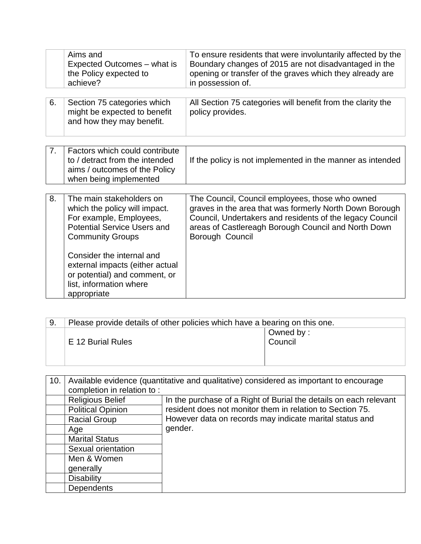|    | Aims and<br>Expected Outcomes – what is<br>the Policy expected to<br>achieve?                                                                                                                                                                                                                    | To ensure residents that were involuntarily affected by the<br>Boundary changes of 2015 are not disadvantaged in the<br>opening or transfer of the graves which they already are<br>in possession of.                                            |
|----|--------------------------------------------------------------------------------------------------------------------------------------------------------------------------------------------------------------------------------------------------------------------------------------------------|--------------------------------------------------------------------------------------------------------------------------------------------------------------------------------------------------------------------------------------------------|
| 6. | Section 75 categories which<br>might be expected to benefit<br>and how they may benefit.                                                                                                                                                                                                         | All Section 75 categories will benefit from the clarity the<br>policy provides.                                                                                                                                                                  |
| 7. | Factors which could contribute<br>to / detract from the intended<br>aims / outcomes of the Policy<br>when being implemented                                                                                                                                                                      | If the policy is not implemented in the manner as intended                                                                                                                                                                                       |
| 8. | The main stakeholders on<br>which the policy will impact.<br>For example, Employees,<br><b>Potential Service Users and</b><br><b>Community Groups</b><br>Consider the internal and<br>external impacts (either actual<br>or potential) and comment, or<br>list, information where<br>appropriate | The Council, Council employees, those who owned<br>graves in the area that was formerly North Down Borough<br>Council, Undertakers and residents of the legacy Council<br>areas of Castlereagh Borough Council and North Down<br>Borough Council |

| -9. | Please provide details of other policies which have a bearing on this one. |  |  |  |
|-----|----------------------------------------------------------------------------|--|--|--|
|     | Owned by:                                                                  |  |  |  |
|     | Council<br>E 12 Burial Rules                                               |  |  |  |
|     |                                                                            |  |  |  |
|     |                                                                            |  |  |  |

| 10. | Available evidence (quantitative and qualitative) considered as important to encourage |                                                                                                                                 |  |
|-----|----------------------------------------------------------------------------------------|---------------------------------------------------------------------------------------------------------------------------------|--|
|     | completion in relation to:                                                             |                                                                                                                                 |  |
|     | <b>Religious Belief</b>                                                                | In the purchase of a Right of Burial the details on each relevant                                                               |  |
|     | <b>Political Opinion</b>                                                               | resident does not monitor them in relation to Section 75.<br>However data on records may indicate marital status and<br>gender. |  |
|     | <b>Racial Group</b>                                                                    |                                                                                                                                 |  |
|     | Age                                                                                    |                                                                                                                                 |  |
|     | <b>Marital Status</b>                                                                  |                                                                                                                                 |  |
|     | Sexual orientation                                                                     |                                                                                                                                 |  |
|     | Men & Women                                                                            |                                                                                                                                 |  |
|     | generally                                                                              |                                                                                                                                 |  |
|     | <b>Disability</b>                                                                      |                                                                                                                                 |  |
|     | <b>Dependents</b>                                                                      |                                                                                                                                 |  |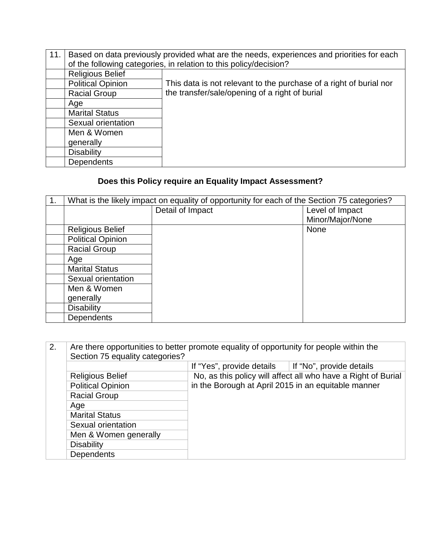| 11. | Based on data previously provided what are the needs, experiences and priorities for each |                                                                    |  |
|-----|-------------------------------------------------------------------------------------------|--------------------------------------------------------------------|--|
|     | of the following categories, in relation to this policy/decision?                         |                                                                    |  |
|     | <b>Religious Belief</b>                                                                   |                                                                    |  |
|     | <b>Political Opinion</b>                                                                  | This data is not relevant to the purchase of a right of burial nor |  |
|     | <b>Racial Group</b>                                                                       | the transfer/sale/opening of a right of burial                     |  |
|     | Age                                                                                       |                                                                    |  |
|     | <b>Marital Status</b>                                                                     |                                                                    |  |
|     | Sexual orientation                                                                        |                                                                    |  |
|     | Men & Women                                                                               |                                                                    |  |
|     | generally                                                                                 |                                                                    |  |
|     | <b>Disability</b>                                                                         |                                                                    |  |
|     | <b>Dependents</b>                                                                         |                                                                    |  |

## **Does this Policy require an Equality Impact Assessment?**

| 1. | What is the likely impact on equality of opportunity for each of the Section 75 categories? |                  |                  |
|----|---------------------------------------------------------------------------------------------|------------------|------------------|
|    |                                                                                             | Detail of Impact | Level of Impact  |
|    |                                                                                             |                  | Minor/Major/None |
|    | <b>Religious Belief</b>                                                                     |                  | <b>None</b>      |
|    | <b>Political Opinion</b>                                                                    |                  |                  |
|    | <b>Racial Group</b>                                                                         |                  |                  |
|    | Age                                                                                         |                  |                  |
|    | <b>Marital Status</b>                                                                       |                  |                  |
|    | Sexual orientation                                                                          |                  |                  |
|    | Men & Women                                                                                 |                  |                  |
|    | generally                                                                                   |                  |                  |
|    | <b>Disability</b>                                                                           |                  |                  |
|    | Dependents                                                                                  |                  |                  |

| 2. | Are there opportunities to better promote equality of opportunity for people within the<br>Section 75 equality categories? |                                                                                                                      |                          |  |
|----|----------------------------------------------------------------------------------------------------------------------------|----------------------------------------------------------------------------------------------------------------------|--------------------------|--|
|    |                                                                                                                            | If "Yes", provide details                                                                                            | If "No", provide details |  |
|    | <b>Religious Belief</b>                                                                                                    | No, as this policy will affect all who have a Right of Burial<br>in the Borough at April 2015 in an equitable manner |                          |  |
|    | <b>Political Opinion</b>                                                                                                   |                                                                                                                      |                          |  |
|    | <b>Racial Group</b>                                                                                                        |                                                                                                                      |                          |  |
|    | Age                                                                                                                        |                                                                                                                      |                          |  |
|    | <b>Marital Status</b>                                                                                                      |                                                                                                                      |                          |  |
|    | Sexual orientation                                                                                                         |                                                                                                                      |                          |  |
|    | Men & Women generally                                                                                                      |                                                                                                                      |                          |  |
|    | <b>Disability</b>                                                                                                          |                                                                                                                      |                          |  |
|    | <b>Dependents</b>                                                                                                          |                                                                                                                      |                          |  |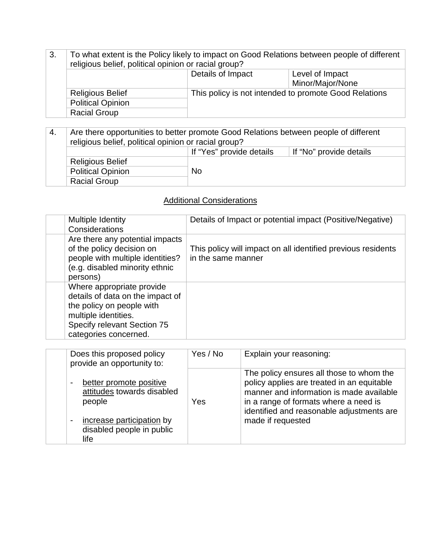| 3. | To what extent is the Policy likely to impact on Good Relations between people of different<br>religious belief, political opinion or racial group? |                                                                                                                   |  |  |
|----|-----------------------------------------------------------------------------------------------------------------------------------------------------|-------------------------------------------------------------------------------------------------------------------|--|--|
|    |                                                                                                                                                     | Details of Impact<br>Level of Impact<br>Minor/Major/None<br>This policy is not intended to promote Good Relations |  |  |
|    |                                                                                                                                                     |                                                                                                                   |  |  |
|    | <b>Religious Belief</b>                                                                                                                             |                                                                                                                   |  |  |
|    | <b>Political Opinion</b>                                                                                                                            |                                                                                                                   |  |  |
|    | <b>Racial Group</b>                                                                                                                                 |                                                                                                                   |  |  |

4. Are there opportunities to better promote Good Relations between people of different religious belief, political opinion or racial group? If "Yes" provide details | If "No" provide details Religious Belief Political Opinion No Racial Group

### Additional Considerations

| Multiple Identity<br>Considerations                                                                                                                                        | Details of Impact or potential impact (Positive/Negative)                          |
|----------------------------------------------------------------------------------------------------------------------------------------------------------------------------|------------------------------------------------------------------------------------|
| Are there any potential impacts<br>of the policy decision on<br>people with multiple identities?<br>(e.g. disabled minority ethnic<br>persons)                             | This policy will impact on all identified previous residents<br>in the same manner |
| Where appropriate provide<br>details of data on the impact of<br>the policy on people with<br>multiple identities.<br>Specify relevant Section 75<br>categories concerned. |                                                                                    |

| Does this proposed policy<br>provide an opportunity to:                                                                                                               | Yes / No | Explain your reasoning:                                                                                                                                                                                                                       |
|-----------------------------------------------------------------------------------------------------------------------------------------------------------------------|----------|-----------------------------------------------------------------------------------------------------------------------------------------------------------------------------------------------------------------------------------------------|
| better promote positive<br>$\blacksquare$<br>attitudes towards disabled<br>people<br>increase participation by<br>$\blacksquare$<br>disabled people in public<br>life | Yes      | The policy ensures all those to whom the<br>policy applies are treated in an equitable<br>manner and information is made available<br>in a range of formats where a need is<br>identified and reasonable adjustments are<br>made if requested |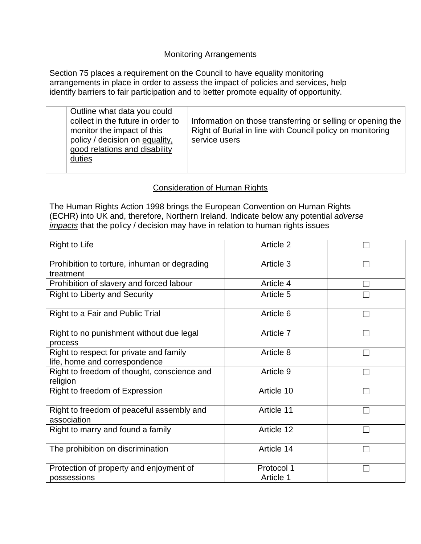#### Monitoring Arrangements

Section 75 places a requirement on the Council to have equality monitoring arrangements in place in order to assess the impact of policies and services, help identify barriers to fair participation and to better promote equality of opportunity.

| Outline what data you could<br>collect in the future in order to<br>monitor the impact of this<br>policy / decision on equality,<br>good relations and disability<br>duties | Information on those transferring or selling or opening the<br>Right of Burial in line with Council policy on monitoring<br>service users |
|-----------------------------------------------------------------------------------------------------------------------------------------------------------------------------|-------------------------------------------------------------------------------------------------------------------------------------------|
|-----------------------------------------------------------------------------------------------------------------------------------------------------------------------------|-------------------------------------------------------------------------------------------------------------------------------------------|

#### Consideration of Human Rights

The Human Rights Action 1998 brings the European Convention on Human Rights (ECHR) into UK and, therefore, Northern Ireland. Indicate below any potential *adverse impacts* that the policy / decision may have in relation to human rights issues

| Right to Life                                                            | Article 2               |  |
|--------------------------------------------------------------------------|-------------------------|--|
| Prohibition to torture, inhuman or degrading<br>treatment                | Article 3               |  |
| Prohibition of slavery and forced labour                                 | Article 4               |  |
| <b>Right to Liberty and Security</b>                                     | Article 5               |  |
| Right to a Fair and Public Trial                                         | Article 6               |  |
| Right to no punishment without due legal<br>process                      | Article 7               |  |
| Right to respect for private and family<br>life, home and correspondence | Article 8               |  |
| Right to freedom of thought, conscience and<br>religion                  | Article 9               |  |
| Right to freedom of Expression                                           | Article 10              |  |
| Right to freedom of peaceful assembly and<br>association                 | Article 11              |  |
| Right to marry and found a family                                        | Article 12              |  |
| The prohibition on discrimination                                        | Article 14              |  |
| Protection of property and enjoyment of<br>possessions                   | Protocol 1<br>Article 1 |  |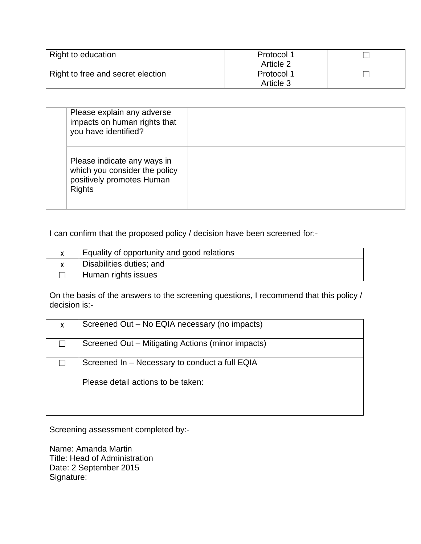| Right to education                | Protocol 1 |  |
|-----------------------------------|------------|--|
|                                   | Article 2  |  |
| Right to free and secret election | Protocol 1 |  |
|                                   | Article 3  |  |

| Please explain any adverse<br>impacts on human rights that<br>you have identified?                         |  |
|------------------------------------------------------------------------------------------------------------|--|
| Please indicate any ways in<br>which you consider the policy<br>positively promotes Human<br><b>Rights</b> |  |

I can confirm that the proposed policy / decision have been screened for:-

| Equality of opportunity and good relations |
|--------------------------------------------|
| Disabilities duties; and                   |
| Human rights issues                        |

On the basis of the answers to the screening questions, I recommend that this policy / decision is:-

| X | Screened Out - No EQIA necessary (no impacts)     |
|---|---------------------------------------------------|
|   | Screened Out – Mitigating Actions (minor impacts) |
|   | Screened In - Necessary to conduct a full EQIA    |
|   | Please detail actions to be taken:                |

Screening assessment completed by:-

Name: Amanda Martin Title: Head of Administration Date: 2 September 2015 Signature: